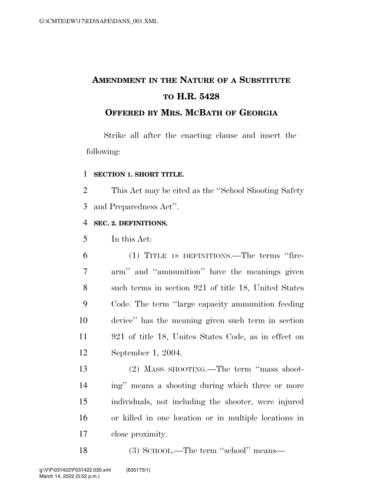# **AMENDMENT IN THE NATURE OF A SUBSTITUTE TO H.R. 5428**

### **OFFERED BY MRS. MCBATH OF GEORGIA**

Strike all after the enacting clause and insert the following:

#### **SECTION 1. SHORT TITLE.**

 This Act may be cited as the ''School Shooting Safety and Preparedness Act''.

#### **SEC. 2. DEFINITIONS.**

In this Act:

 (1) TITLE 18 DEFINITIONS.—The terms ''fire- arm'' and ''ammunition'' have the meanings given such terms in section 921 of title 18, United States Code. The term ''large capacity ammunition feeding device'' has the meaning given such term in section 921 of title 18, Unites States Code, as in effect on September 1, 2004.

 (2) MASS SHOOTING.—The term ''mass shoot- ing'' means a shooting during which three or more individuals, not including the shooter, were injured or killed in one location or in multiple locations in close proximity.

(3) SCHOOL.—The term ''school'' means—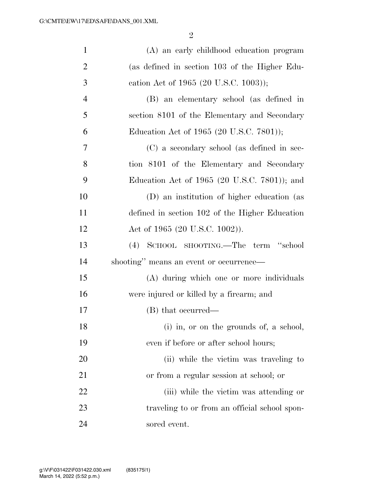| $\mathbf{1}$   | (A) an early childhood education program       |
|----------------|------------------------------------------------|
| $\overline{2}$ | (as defined in section 103 of the Higher Edu-  |
| 3              | cation Act of 1965 (20 U.S.C. 1003));          |
| $\overline{4}$ | (B) an elementary school (as defined in        |
| 5              | section 8101 of the Elementary and Secondary   |
| 6              | Education Act of 1965 (20 U.S.C. 7801));       |
| 7              | (C) a secondary school (as defined in sec-     |
| 8              | tion 8101 of the Elementary and Secondary      |
| 9              | Education Act of 1965 (20 U.S.C. 7801)); and   |
| 10             | (D) an institution of higher education (as     |
| 11             | defined in section 102 of the Higher Education |
| 12             | Act of 1965 (20 U.S.C. 1002)).                 |
| 13             | (4) SCHOOL SHOOTING.—The term "school          |
| 14             | shooting" means an event or occurrence—        |
| 15             | (A) during which one or more individuals       |
| 16             | were injured or killed by a firearm; and       |
| 17             | (B) that occurred—                             |
| 18             | (i) in, or on the grounds of, a school,        |
| 19             | even if before or after school hours;          |
| 20             | (ii) while the victim was traveling to         |
| 21             | or from a regular session at school; or        |
| 22             | (iii) while the victim was attending or        |
| 23             | traveling to or from an official school spon-  |
| 24             | sored event.                                   |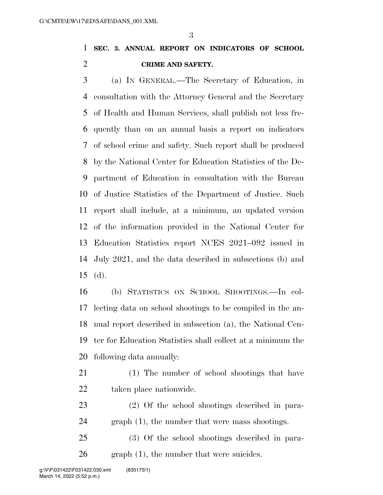### **SEC. 3. ANNUAL REPORT ON INDICATORS OF SCHOOL CRIME AND SAFETY.**

 (a) IN GENERAL.—The Secretary of Education, in consultation with the Attorney General and the Secretary of Health and Human Services, shall publish not less fre- quently than on an annual basis a report on indicators of school crime and safety. Such report shall be produced by the National Center for Education Statistics of the De- partment of Education in consultation with the Bureau of Justice Statistics of the Department of Justice. Such report shall include, at a minimum, an updated version of the information provided in the National Center for Education Statistics report NCES 2021–092 issued in July 2021, and the data described in subsections (b) and (d).

 (b) STATISTICS ON SCHOOL SHOOTINGS.—In col- lecting data on school shootings to be compiled in the an- nual report described in subsection (a), the National Cen- ter for Education Statistics shall collect at a minimum the following data annually:

- (1) The number of school shootings that have taken place nationwide.
- (2) Of the school shootings described in para-graph (1), the number that were mass shootings.
- (3) Of the school shootings described in para-graph (1), the number that were suicides.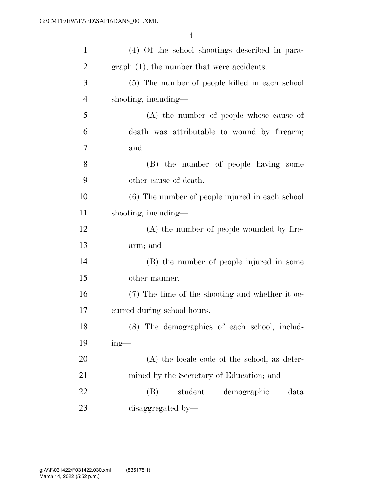| $\mathbf{1}$   | (4) Of the school shootings described in para-  |
|----------------|-------------------------------------------------|
| $\overline{2}$ | $graph(1)$ , the number that were accidents.    |
| 3              | (5) The number of people killed in each school  |
| $\overline{4}$ | shooting, including—                            |
| 5              | (A) the number of people whose cause of         |
| 6              | death was attributable to wound by firearm;     |
| 7              | and                                             |
| 8              | (B) the number of people having some            |
| 9              | other cause of death.                           |
| 10             | (6) The number of people injured in each school |
| 11             | shooting, including—                            |
| 12             | (A) the number of people wounded by fire-       |
| 13             | arm; and                                        |
| 14             | (B) the number of people injured in some        |
| 15             | other manner.                                   |
| 16             | (7) The time of the shooting and whether it oc- |
| 17             | curred during school hours.                     |
| 18             | (8) The demographics of each school, includ-    |
| 19             | $ing$ —                                         |
| 20             | (A) the locale code of the school, as deter-    |
| 21             | mined by the Secretary of Education; and        |
| 22             | student<br>demographic<br>(B)<br>data           |
| 23             | disaggregated by-                               |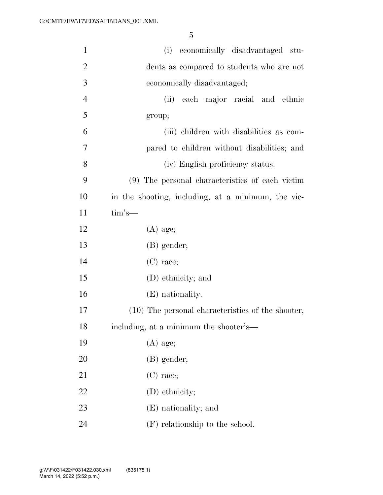| $\mathbf{1}$   | (i) economically disadvantaged stu-                |
|----------------|----------------------------------------------------|
| $\overline{2}$ | dents as compared to students who are not          |
| 3              | economically disadvantaged;                        |
| $\overline{4}$ | each major racial and ethnic<br>(ii)               |
| 5              | group;                                             |
| 6              | (iii) children with disabilities as com-           |
| $\tau$         | pared to children without disabilities; and        |
| 8              | (iv) English proficiency status.                   |
| 9              | (9) The personal characteristics of each victim    |
| 10             | in the shooting, including, at a minimum, the vic- |
| 11             | $\text{tim's}$ —                                   |
| 12             | $(A)$ age;                                         |
| 13             | $(B)$ gender;                                      |
| 14             | $(C)$ race;                                        |
| 15             | (D) ethnicity; and                                 |
| 16             | (E) nationality.                                   |
| 17             | (10) The personal characteristics of the shooter,  |
| 18             | including, at a minimum the shooter's-             |
| 19             | $(A)$ age;                                         |
| 20             | $(B)$ gender;                                      |
| 21             | $(C)$ race;                                        |
| 22             | (D) ethnicity;                                     |
| 23             | (E) nationality; and                               |
| 24             | (F) relationship to the school.                    |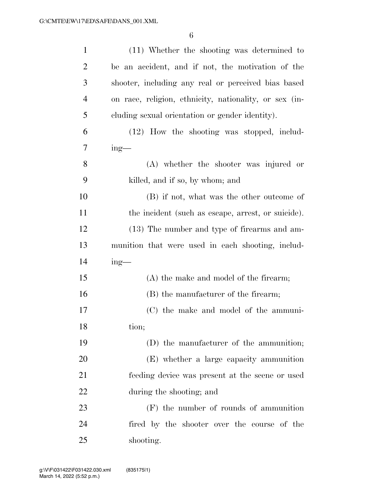| $\mathbf{1}$   | (11) Whether the shooting was determined to            |
|----------------|--------------------------------------------------------|
| $\overline{2}$ | be an accident, and if not, the motivation of the      |
| 3              | shooter, including any real or perceived bias based    |
| $\overline{4}$ | on race, religion, ethnicity, nationality, or sex (in- |
| 5              | cluding sexual orientation or gender identity).        |
| 6              | (12) How the shooting was stopped, includ-             |
| 7              | $ing$ —                                                |
| 8              | (A) whether the shooter was injured or                 |
| 9              | killed, and if so, by whom; and                        |
| 10             | (B) if not, what was the other outcome of              |
| 11             | the incident (such as escape, arrest, or suicide).     |
| 12             | (13) The number and type of firearms and am-           |
| 13             | munition that were used in each shooting, includ-      |
| 14             | $ing$ —                                                |
| 15             | (A) the make and model of the firearm;                 |
| 16             | (B) the manufacturer of the firearm;                   |
| 17             | (C) the make and model of the ammuni-                  |
| 18             | tion;                                                  |
| 19             | (D) the manufacturer of the ammunition;                |
| 20             | (E) whether a large capacity ammunition                |
| 21             | feeding device was present at the scene or used        |
| 22             | during the shooting; and                               |
| 23             | $(F)$ the number of rounds of ammunition               |
| 24             | fired by the shooter over the course of the            |
| 25             | shooting.                                              |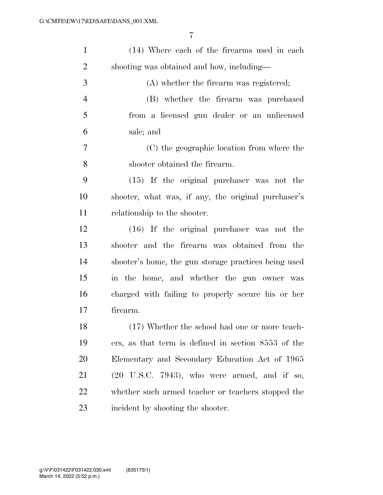| $\mathbf{1}$   | (14) Where each of the firearms used in each           |
|----------------|--------------------------------------------------------|
| $\overline{2}$ | shooting was obtained and how, including—              |
| 3              | (A) whether the firearm was registered;                |
| $\overline{4}$ | (B) whether the firearm was purchased                  |
| 5              | from a licensed gun dealer or an unlicensed            |
| 6              | sale; and                                              |
| 7              | (C) the geographic location from where the             |
| 8              | shooter obtained the firearm.                          |
| 9              | (15) If the original purchaser was not the             |
| 10             | shooter, what was, if any, the original purchaser's    |
| 11             | relationship to the shooter.                           |
| 12             | (16) If the original purchaser was not the             |
| 13             | shooter and the firearm was obtained from the          |
| 14             | shooter's home, the gun storage practices being used   |
| 15             | in the home, and whether the gun owner was             |
| 16             | charged with failing to properly secure his or her     |
| 17             | firearm.                                               |
| 18             | (17) Whether the school had one or more teach-         |
| 19             | ers, as that term is defined in section 8553 of the    |
| <b>20</b>      | Elementary and Secondary Education Act of 1965         |
| 21             | $(20\text{ U.S.C. }7943)$ , who were armed, and if so, |
| 22             | whether such armed teacher or teachers stopped the     |
| 23             | incident by shooting the shooter.                      |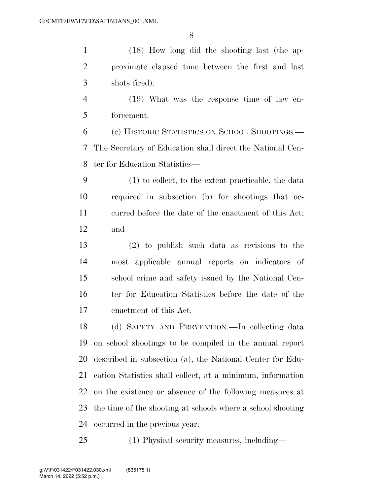(18) How long did the shooting last (the ap- proximate elapsed time between the first and last shots fired).

 (19) What was the response time of law en-forcement.

 (c) HISTORIC STATISTICS ON SCHOOL SHOOTINGS.— The Secretary of Education shall direct the National Cen-ter for Education Statistics—

 (1) to collect, to the extent practicable, the data required in subsection (b) for shootings that oc- curred before the date of the enactment of this Act; and

 (2) to publish such data as revisions to the most applicable annual reports on indicators of school crime and safety issued by the National Cen-16 ter for Education Statistics before the date of the enactment of this Act.

 (d) SAFETY AND PREVENTION.—In collecting data on school shootings to be compiled in the annual report described in subsection (a), the National Center for Edu- cation Statistics shall collect, at a minimum, information on the existence or absence of the following measures at the time of the shooting at schools where a school shooting occurred in the previous year:

(1) Physical security measures, including—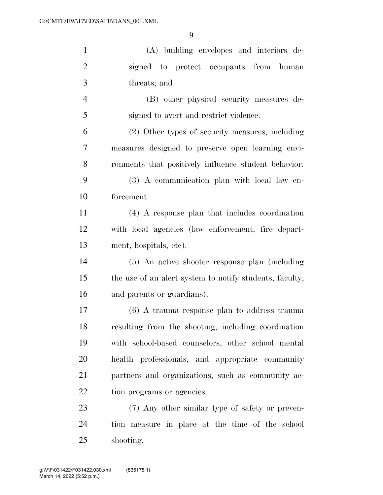| $\mathbf{1}$   | (A) building envelopes and interiors de-                |
|----------------|---------------------------------------------------------|
| $\overline{2}$ | signed to protect occupants from human                  |
| 3              | threats; and                                            |
| $\overline{4}$ | (B) other physical security measures de-                |
| 5              | signed to avert and restrict violence.                  |
| 6              | (2) Other types of security measures, including         |
| 7              | measures designed to preserve open learning envi-       |
| 8              | ronments that positively influence student behavior.    |
| 9              | (3) A communication plan with local law en-             |
| 10             | forcement.                                              |
| 11             | (4) A response plan that includes coordination          |
| 12             | with local agencies (law enforcement, fire depart-      |
| 13             | ment, hospitals, etc.                                   |
| 14             | (5) An active shooter response plan (including          |
| 15             | the use of an alert system to notify students, faculty, |
| 16             | and parents or guardians).                              |
| 17             | $(6)$ A trauma response plan to address trauma          |
| 18             | resulting from the shooting, including coordination     |
| 19             | with school-based counselors, other school mental       |
| 20             | health professionals, and appropriate community         |
| 21             | partners and organizations, such as community ac-       |
| 22             | tion programs or agencies.                              |
| 23             | (7) Any other similar type of safety or preven-         |
| 24             | tion measure in place at the time of the school         |
| 25             | shooting.                                               |